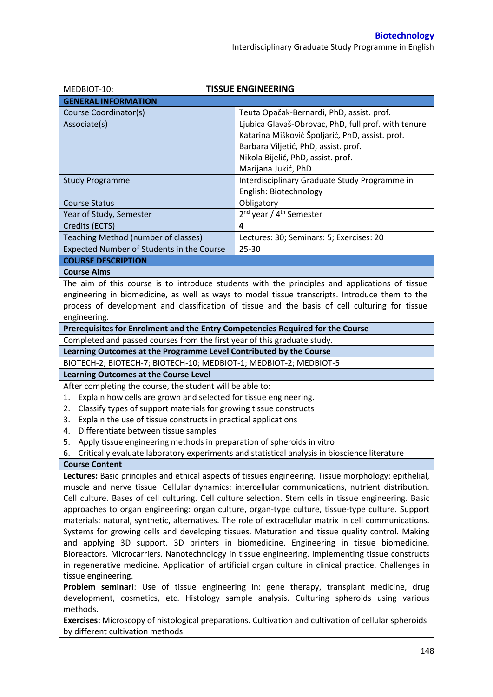| MEDBIOT-10:                                                                                                                  | <b>TISSUE ENGINEERING</b>                                                                             |  |  |
|------------------------------------------------------------------------------------------------------------------------------|-------------------------------------------------------------------------------------------------------|--|--|
| <b>GENERAL INFORMATION</b>                                                                                                   |                                                                                                       |  |  |
| Course Coordinator(s)                                                                                                        | Teuta Opačak-Bernardi, PhD, assist. prof.                                                             |  |  |
| Associate(s)                                                                                                                 | Ljubica Glavaš-Obrovac, PhD, full prof. with tenure                                                   |  |  |
|                                                                                                                              | Katarina Mišković Špoljarić, PhD, assist. prof.                                                       |  |  |
|                                                                                                                              | Barbara Viljetić, PhD, assist. prof.                                                                  |  |  |
|                                                                                                                              | Nikola Bijelić, PhD, assist. prof.                                                                    |  |  |
|                                                                                                                              | Marijana Jukić, PhD                                                                                   |  |  |
| <b>Study Programme</b>                                                                                                       | Interdisciplinary Graduate Study Programme in                                                         |  |  |
|                                                                                                                              | English: Biotechnology                                                                                |  |  |
| <b>Course Status</b>                                                                                                         | Obligatory                                                                                            |  |  |
| Year of Study, Semester                                                                                                      | 2 <sup>nd</sup> year / 4 <sup>th</sup> Semester                                                       |  |  |
| Credits (ECTS)                                                                                                               | 4                                                                                                     |  |  |
| Teaching Method (number of classes)                                                                                          | Lectures: 30; Seminars: 5; Exercises: 20                                                              |  |  |
| Expected Number of Students in the Course                                                                                    | $25 - 30$                                                                                             |  |  |
| <b>COURSE DESCRIPTION</b>                                                                                                    |                                                                                                       |  |  |
| <b>Course Aims</b>                                                                                                           |                                                                                                       |  |  |
|                                                                                                                              | The aim of this course is to introduce students with the principles and applications of tissue        |  |  |
|                                                                                                                              | engineering in biomedicine, as well as ways to model tissue transcripts. Introduce them to the        |  |  |
| process of development and classification of tissue and the basis of cell culturing for tissue                               |                                                                                                       |  |  |
| engineering.                                                                                                                 |                                                                                                       |  |  |
| Prerequisites for Enrolment and the Entry Competencies Required for the Course                                               |                                                                                                       |  |  |
| Completed and passed courses from the first year of this graduate study.                                                     |                                                                                                       |  |  |
| Learning Outcomes at the Programme Level Contributed by the Course                                                           |                                                                                                       |  |  |
| BIOTECH-2; BIOTECH-7; BIOTECH-10; MEDBIOT-1; MEDBIOT-2; MEDBIOT-5                                                            |                                                                                                       |  |  |
| <b>Learning Outcomes at the Course Level</b>                                                                                 |                                                                                                       |  |  |
| After completing the course, the student will be able to:                                                                    |                                                                                                       |  |  |
| Explain how cells are grown and selected for tissue engineering.<br>1.                                                       |                                                                                                       |  |  |
| Classify types of support materials for growing tissue constructs<br>2.                                                      |                                                                                                       |  |  |
| Explain the use of tissue constructs in practical applications<br>3.                                                         |                                                                                                       |  |  |
| Differentiate between tissue samples<br>4.                                                                                   |                                                                                                       |  |  |
| Apply tissue engineering methods in preparation of spheroids in vitro<br>5.                                                  |                                                                                                       |  |  |
| 6.                                                                                                                           | Critically evaluate laboratory experiments and statistical analysis in bioscience literature          |  |  |
| <b>Course Content</b>                                                                                                        |                                                                                                       |  |  |
|                                                                                                                              | Lectures: Basic principles and ethical aspects of tissues engineering. Tissue morphology: epithelial, |  |  |
|                                                                                                                              | muscle and nerve tissue. Cellular dynamics: intercellular communications, nutrient distribution.      |  |  |
| Cell culture. Bases of cell culturing. Cell culture selection. Stem cells in tissue engineering. Basic                       |                                                                                                       |  |  |
| approaches to organ engineering: organ culture, organ-type culture, tissue-type culture. Support                             |                                                                                                       |  |  |
| materials: natural, synthetic, alternatives. The role of extracellular matrix in cell communications.                        |                                                                                                       |  |  |
| Systems for growing cells and developing tissues. Maturation and tissue quality control. Making                              |                                                                                                       |  |  |
| and applying 3D support. 3D printers in biomedicine. Engineering in tissue biomedicine.                                      |                                                                                                       |  |  |
| Bioreactors. Microcarriers. Nanotechnology in tissue engineering. Implementing tissue constructs                             |                                                                                                       |  |  |
| in regenerative medicine. Application of artificial organ culture in clinical practice. Challenges in<br>tissue engineering. |                                                                                                       |  |  |
| Problem seminari: Use of tissue engineering in: gene therapy, transplant medicine, drug                                      |                                                                                                       |  |  |
| development, cosmetics, etc. Histology sample analysis. Culturing spheroids using various                                    |                                                                                                       |  |  |
| methods.                                                                                                                     |                                                                                                       |  |  |
| Exercises: Microscopy of histological preparations. Cultivation and cultivation of cellular spheroids                        |                                                                                                       |  |  |
| by different cultivation methods.                                                                                            |                                                                                                       |  |  |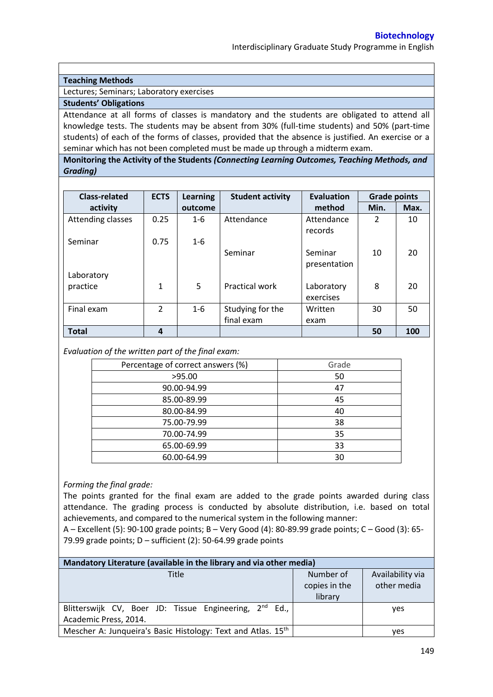## **Teaching Methods**

Lectures; Seminars; Laboratory exercises

## **Students' Obligations**

Attendance at all forms of classes is mandatory and the students are obligated to attend all knowledge tests. The students may be absent from 30% (full-time students) and 50% (part-time students) of each of the forms of classes, provided that the absence is justified. An exercise or a seminar which has not been completed must be made up through a midterm exam.

**Monitoring the Activity of the Students** *(Connecting Learning Outcomes, Teaching Methods, and Grading)*

| <b>Class-related</b> | <b>ECTS</b>   | <b>Learning</b> | <b>Student activity</b> | Evaluation            | <b>Grade points</b> |      |
|----------------------|---------------|-----------------|-------------------------|-----------------------|---------------------|------|
| activity             |               | outcome         |                         | method                | Min.                | Max. |
| Attending classes    | 0.25          | $1 - 6$         | Attendance              | Attendance<br>records | $\mathcal{P}$       | 10   |
| Seminar              | 0.75          | $1 - 6$         |                         |                       |                     |      |
|                      |               |                 | Seminar                 | Seminar               | 10                  | 20   |
|                      |               |                 |                         | presentation          |                     |      |
| Laboratory           |               |                 |                         |                       |                     |      |
| practice             | $\mathbf{1}$  | 5               | <b>Practical work</b>   | Laboratory            | 8                   | 20   |
|                      |               |                 |                         | exercises             |                     |      |
| Final exam           | $\mathcal{L}$ | $1 - 6$         | Studying for the        | Written               | 30                  | 50   |
|                      |               |                 | final exam              | exam                  |                     |      |
| <b>Total</b>         | 4             |                 |                         |                       | 50                  | 100  |

*Evaluation of the written part of the final exam:*

| Percentage of correct answers (%) | Grade |  |
|-----------------------------------|-------|--|
| >95.00                            | 50    |  |
| 90.00-94.99                       | 47    |  |
| 85.00-89.99                       | 45    |  |
| 80.00-84.99                       | 40    |  |
| 75.00-79.99                       | 38    |  |
| 70.00-74.99                       | 35    |  |
| 65.00-69.99                       | 33    |  |
| 60.00-64.99                       | 30    |  |

*Forming the final grade:*

The points granted for the final exam are added to the grade points awarded during class attendance. The grading process is conducted by absolute distribution, i.e. based on total achievements, and compared to the numerical system in the following manner:

A – Excellent (5): 90-100 grade points; B – Very Good (4): 80-89.99 grade points; C – Good (3): 65- 79.99 grade points;  $D$  – sufficient (2): 50-64.99 grade points

| Mandatory Literature (available in the library and via other media) |               |                  |  |  |  |
|---------------------------------------------------------------------|---------------|------------------|--|--|--|
| Title                                                               | Number of     | Availability via |  |  |  |
|                                                                     | copies in the | other media      |  |  |  |
|                                                                     | library       |                  |  |  |  |
| Blitterswijk CV, Boer JD: Tissue Engineering, 2 <sup>nd</sup> Ed.,  |               | <b>ves</b>       |  |  |  |
| Academic Press, 2014.                                               |               |                  |  |  |  |
| Mescher A: Junqueira's Basic Histology: Text and Atlas. 15th        |               | ves              |  |  |  |